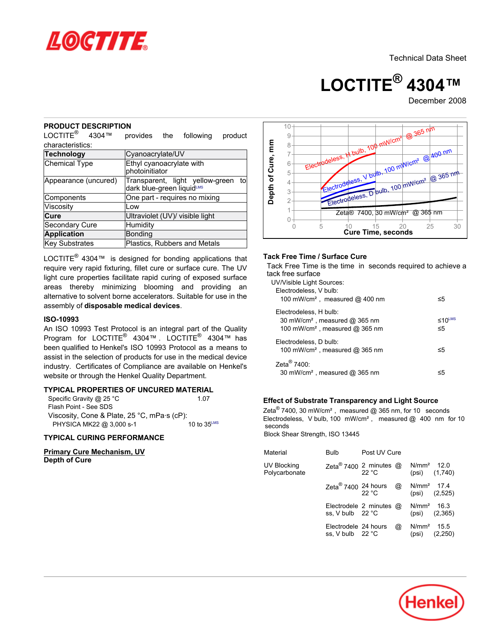

# **LOCTITE® 4304™**

December 2008

# **PRODUCT DESCRIPTION**

LOCTITE<sup>®</sup> 4304™ provides the following product characteristics:

| <b>Technology</b>     | Cyanoacrylate/UV                                                |
|-----------------------|-----------------------------------------------------------------|
| <b>Chemical Type</b>  | Ethyl cyanoacrylate with<br>photoinitiator                      |
| Appearance (uncured)  | Transparent, light yellow-green to<br>dark blue-green liquidLMS |
| Components            | One part - requires no mixing                                   |
| Viscosity             | Low                                                             |
| Cure                  | Ultraviolet (UV)/ visible light                                 |
| <b>Secondary Cure</b> | Humidity                                                        |
| <b>Application</b>    | <b>Bonding</b>                                                  |
| <b>Key Substrates</b> | Plastics, Rubbers and Metals                                    |
|                       |                                                                 |

LOCTITE $^{\circledR}$  4304™ is designed for bonding applications that require very rapid fixturing, fillet cure or surface cure. The UV light cure properties facilitate rapid curing of exposed surface areas thereby minimizing blooming and providing an alternative to solvent borne accelerators. Suitable for use in the assembly of **disposable medical devices**.

## **ISO-10993**

An ISO 10993 Test Protocol is an integral part of the Quality Program for LOCTITE® 4304™ . LOCTITE® 4304™ has been qualified to Henkel's ISO 10993 Protocol as a means to assist in the selection of products for use in the medical device industry. Certificates of Compliance are available on Henkel's website or through the Henkel Quality Department.

# **TYPICAL PROPERTIES OF UNCURED MATERIAL**

| Specific Gravity @ 25 °C                    | 1.07                    |
|---------------------------------------------|-------------------------|
| Flash Point - See SDS                       |                         |
| Viscosity, Cone & Plate, 25 °C, mPa s (cP): |                         |
| PHYSICA MK22 @ 3,000 s-1                    | 10 to $35^{\text{LMS}}$ |

## **TYPICAL CURING PERFORMANCE**

**Primary Cure Mechanism, UV Depth of Cure**



## **Tack Free Time / Surface Cure**

Tack Free Time is the time in seconds required to achieve a tack free surface

| UV/Visible Light Sources:<br>Electrodeless, V bulb:                                                               |                              |
|-------------------------------------------------------------------------------------------------------------------|------------------------------|
| 100 mW/cm <sup>2</sup> , measured $@$ 400 nm                                                                      | ≤5                           |
| Electrodeless, H bulb:<br>30 mW/cm <sup>2</sup> , measured @ 365 nm<br>100 mW/cm <sup>2</sup> , measured @ 365 nm | $\leq 10^{\text{LMS}}$<br>≤5 |
| Electrodeless. D bulb:<br>100 mW/cm <sup>2</sup> , measured @ 365 nm                                              | ≤5                           |
| $7$ eta $^{\circledR}$ 7400 $^{\circ}$<br>30 mW/cm <sup>2</sup> , measured @ 365 nm                               | <5                           |

# **Effect of Substrate Transparency and Light Source**

Zeta $^\circledR$  7400, 30 mW/cm<sup>2</sup>, measured @ 365 nm, for 10 seconds Electrodeless, V bulb, 100 mW/cm<sup>2</sup>, measured  $@$  400 nm for 10 seconds Block Shear Strength, ISO 13445

| Material                     | Bulb                                              | Post UV Cure |   |                        |                   |
|------------------------------|---------------------------------------------------|--------------|---|------------------------|-------------------|
| UV Blocking<br>Polycarbonate | Zeta <sup>®</sup> 7400 2 minutes $@$              | 22 °C        |   | N/mm <sup>2</sup> 12.0 | $(psi)$ $(1,740)$ |
|                              | Zeta <sup>®</sup> 7400 24 hours                   | 22 °C        | @ | N/mm <sup>2</sup> 17.4 | $(psi)$ $(2,525)$ |
|                              | Electrodele 2 minutes @<br>ss. V bulb 22 °C       |              |   | $N/mm2$ 16.3           | $(psi)$ $(2,365)$ |
|                              | Electrodele 24 hours<br>ss, V bulb $22^{\circ}$ C |              | @ | $N/mm2$ 15.5<br>(psi)  | (2,250)           |

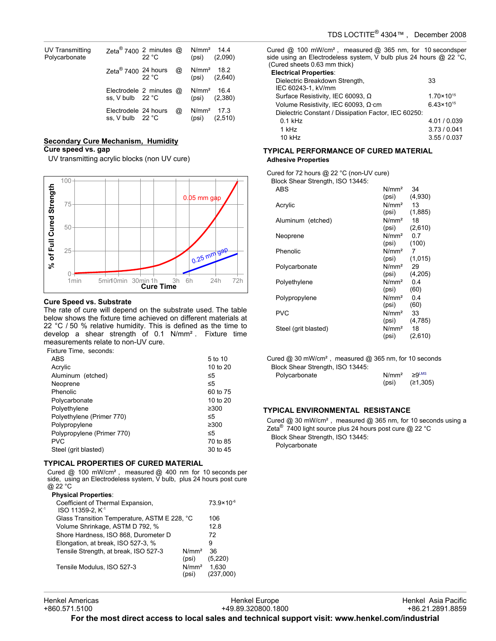| UV Transmitting<br>Polycarbonate | Zeta <sup>®</sup> 7400 2 minutes $@$               | 22 °C  |   | $N/mm^2$ 14.4 | $(psi)$ $(2,090)$ |
|----------------------------------|----------------------------------------------------|--------|---|---------------|-------------------|
|                                  | Zeta <sup>®</sup> 7400 24 hours                    | 22 °C. | @ | $N/mm2$ 18.2  | $(psi)$ $(2,640)$ |
|                                  | Electrodele 2 minutes $\omega$<br>ss, V bulb 22 °C |        |   | $N/mm2$ 16.4  | $(psi)$ $(2,380)$ |
|                                  | Electrodele 24 hours<br>ss, V bulb 22 °C           |        | @ | $N/mm2$ 17.3  | $(psi)$ $(2,510)$ |

#### **Secondary Cure Mechanism, Humidity Cure speed vs. gap**

UV transmitting acrylic blocks (non UV cure)



#### **Cure Speed vs. Substrate**

The rate of cure will depend on the substrate used. The table below shows the fixture time achieved on different materials at 22 °C / 50 % relative humidity. This is defined as the time to develop a shear strength of 0.1 N/mm². Fixture time measurements relate to non-UV cure.

Fixture Time, seconds:

| ABS                        | 5 to 10  |
|----------------------------|----------|
| Acrylic                    | 10 to 20 |
| Aluminum (etched)          | ≤5       |
| Neoprene                   | ≤5       |
| Phenolic                   | 60 to 75 |
| Polycarbonate              | 10 to 20 |
| Polyethylene               | ≥300     |
| Polyethylene (Primer 770)  | ≤5       |
| Polypropylene              | ≥300     |
| Polypropylene (Primer 770) | ≤5       |
| <b>PVC</b>                 | 70 to 85 |
| Steel (grit blasted)       | 30 to 45 |

## **TYPICAL PROPERTIES OF CURED MATERIAL**

Cured @ 100 mW/cm², measured @ 400 nm for 10 seconds per side, using an Electrodeless system, V bulb, plus 24 hours post cure @ 22 °C

| <b>Physical Properties:</b>                                       |                            |                       |
|-------------------------------------------------------------------|----------------------------|-----------------------|
| Coefficient of Thermal Expansion,<br>ISO 11359-2, K <sup>-1</sup> |                            | $73.9 \times 10^{-6}$ |
| Glass Transition Temperature, ASTM E 228, °C                      |                            | 106                   |
| Volume Shrinkage, ASTM D 792, %                                   |                            | 128                   |
| Shore Hardness, ISO 868, Durometer D                              |                            | 72                    |
| Elongation, at break, ISO 527-3, %                                |                            | 9                     |
| Tensile Strength, at break, ISO 527-3                             | N/mm <sup>2</sup><br>(psi) | 36<br>(5,220)         |
| Tensile Modulus, ISO 527-3                                        | N/mm <sup>2</sup><br>(psi) | 1.630                 |

Cured @ 100 mW/cm², measured @ 365 nm, for 10 secondsper side using an Electrodeless system, V bulb plus 24 hours @ 22 °C, (Cured sheets 0.63 mm thick)

| <b>Electrical Properties:</b>                        |                       |
|------------------------------------------------------|-----------------------|
| Dielectric Breakdown Strength,<br>IEC 60243-1, kV/mm | 33                    |
| Surface Resistivity, IEC 60093, Ω                    | $1.70 \times 10^{15}$ |
| Volume Resistivity, IEC 60093, Ω·cm                  | $6.43 \times 10^{15}$ |
| Dielectric Constant / Dissipation Factor, IEC 60250: |                       |
| $0.1$ kHz                                            | 4.01 / 0.039          |
| 1 kHz                                                | 3.73/0.041            |
| 10 kHz                                               | 3.55/0.037            |

#### **TYPICAL PERFORMANCE OF CURED MATERIAL Adhesive Properties**

Cured for 72 hours @ 22 °C (non-UV cure)

Block Shear Strength, ISO 13445:

| ABS                  | N/mm <sup>2</sup> | 34      |
|----------------------|-------------------|---------|
|                      | (psi)             | (4,930) |
| Acrylic              | N/mm <sup>2</sup> | 13      |
|                      | (psi)             | (1,885) |
| Aluminum (etched)    | N/mm <sup>2</sup> | 18      |
|                      | (psi)             | (2,610) |
| Neoprene             | N/mm <sup>2</sup> | 0.7     |
|                      | (psi)             | (100)   |
| Phenolic             | N/mm <sup>2</sup> | 7       |
|                      | (psi)             | (1,015) |
| Polycarbonate        | N/mm <sup>2</sup> | 29      |
|                      | (psi)             | (4,205) |
| Polyethylene         | N/mm <sup>2</sup> | 0.4     |
|                      | (psi)             | (60)    |
| Polypropylene        | N/mm <sup>2</sup> | 0.4     |
|                      | (psi)             | (60)    |
| <b>PVC</b>           | N/mm <sup>2</sup> | 33      |
|                      | (psi)             | (4,785) |
| Steel (grit blasted) | N/mm <sup>2</sup> | 18      |
|                      | (psi)             | (2,610) |

Cured @ 30 mW/cm², measured @ 365 nm, for 10 seconds Block Shear Strength, ISO 13445:

| Polycarbonate | $N/mm^2 \geq 9$ <sup>LMS</sup> |          |
|---------------|--------------------------------|----------|
|               | (psi)                          | (≥1,305) |

## **TYPICAL ENVIRONMENTAL RESISTANCE**

Cured @ 30 mW/cm², measured @ 365 nm, for 10 seconds using a Zeta $^{\circledR}$  7400 light source plus 24 hours post cure @ 22  $^{\circ}$ C Block Shear Strength, ISO 13445: Polycarbonate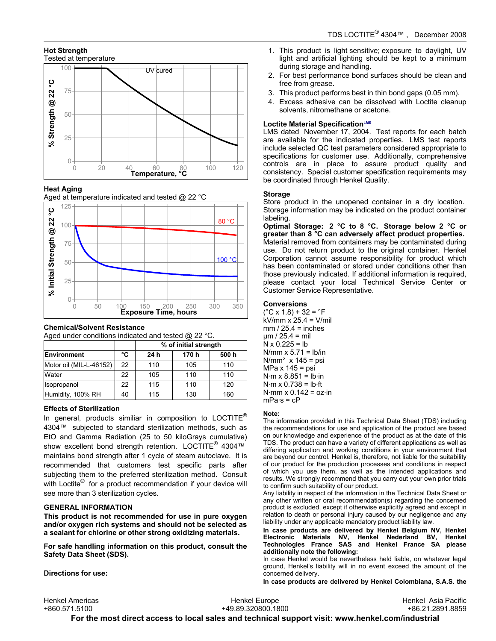# **Hot Strength**



## **Heat Aging**





## **Chemical/Solvent Resistance**

Aged under conditions indicated and tested @ 22 °C.

|                         |    | % of initial strength |       |       |
|-------------------------|----|-----------------------|-------|-------|
| Environment             | °C | 24 h                  | 170 h | 500 h |
| Motor oil (MIL-L-46152) | 22 | 110                   | 105   | 110   |
| Water                   | 22 | 105                   | 110   | 110   |
| Isopropanol             | 22 | 115                   | 110   | 120   |
| Humidity, 100% RH       | 40 | 115                   | 130   | 160   |

## **Effects of Sterilization**

In general, products similiar in composition to LOCTITE® 4304™ subjected to standard sterilization methods, such as EtO and Gamma Radiation (25 to 50 kiloGrays cumulative) show excellent bond strength retention. LOCTITE<sup>®</sup> 4304™ maintains bond strength after 1 cycle of steam autoclave. It is recommended that customers test specific parts after subjecting them to the preferred sterilization method. Consult with Loctite<sup>®</sup> for a product recommendation if your device will see more than 3 sterilization cycles.

## **GENERAL INFORMATION**

**This product is not recommended for use in pure oxygen and/or oxygen rich systems and should not be selected as a sealant for chlorine or other strong oxidizing materials.**

**For safe handling information on this product, consult the Safety Data Sheet (SDS).**

**Directions for use:**

- 1. This product is light sensitive; exposure to daylight, UV light and artificial lighting should be kept to a minimum during storage and handling.
- 2. For best performance bond surfaces should be clean and free from grease.
- 3. This product performs best in thin bond gaps (0.05 mm).
- 4. Excess adhesive can be dissolved with Loctite cleanup solvents, nitromethane or acetone.

## **Loctite Material SpecificationLMS**

LMS dated November 17, 2004. Test reports for each batch are available for the indicated properties. LMS test reports include selected QC test parameters considered appropriate to specifications for customer use. Additionally, comprehensive controls are in place to assure product quality and consistency. Special customer specification requirements may be coordinated through Henkel Quality.

## **Storage**

Store product in the unopened container in a dry location. Storage information may be indicated on the product container labeling.

**Optimal Storage: 2 °C to 8 °C. Storage below 2 °C or greater than 8 °C can adversely affect product properties.** Material removed from containers may be contaminated during use. Do not return product to the original container. Henkel Corporation cannot assume responsibility for product which has been contaminated or stored under conditions other than those previously indicated. If additional information is required, please contact your local Technical Service Center or Customer Service Representative.

## **Conversions**

 $(^{\circ}C$  x 1.8) + 32 =  $^{\circ}F$ kV/mm x 25.4 = V/mil  $mm / 25.4 = inches$  $\mu$ m / 25.4 = mil  $N \times 0.225 = lb$ N/mm  $x$  5.71 = lb/in  $N/mm<sup>2</sup>$  x 145 = psi  $MPa \times 145 =$  psi  $N·m \times 8.851 = lb·in$  $N·m \times 0.738 = lb·ft$  $N·mm \times 0.142 = oz·in$  $mPa·s = cP$ 

## **Note:**

The information provided in this Technical Data Sheet (TDS) including the recommendations for use and application of the product are based on our knowledge and experience of the product as at the date of this TDS. The product can have a variety of different applications as well as differing application and working conditions in your environment that are beyond our control. Henkel is, therefore, not liable for the suitability of our product for the production processes and conditions in respect of which you use them, as well as the intended applications and results. We strongly recommend that you carry out your own prior trials to confirm such suitability of our product.

Any liability in respect of the information in the Technical Data Sheet or any other written or oral recommendation(s) regarding the concerned product is excluded, except if otherwise explicitly agreed and except in relation to death or personal injury caused by our negligence and any liability under any applicable mandatory product liability law.

**In case products are delivered by Henkel Belgium NV, Henkel Electronic Materials NV, Henkel Nederland BV, Henkel Technologies France SAS and Henkel France SA please additionally note the following:** 

In case Henkel would be nevertheless held liable, on whatever legal ground, Henkel's liability will in no event exceed the amount of the concerned delivery.

**In case products are delivered by Henkel Colombiana, S.A.S. the**

| Henkel Americas                                                                                  | Henkel Europe      | Henkel Asia Pacific |  |  |
|--------------------------------------------------------------------------------------------------|--------------------|---------------------|--|--|
| +860.571.5100                                                                                    | +49.89.320800.1800 | +86.21.2891.8859    |  |  |
| For the most direct access to local sales and technical support visit: www.henkel.com/industrial |                    |                     |  |  |